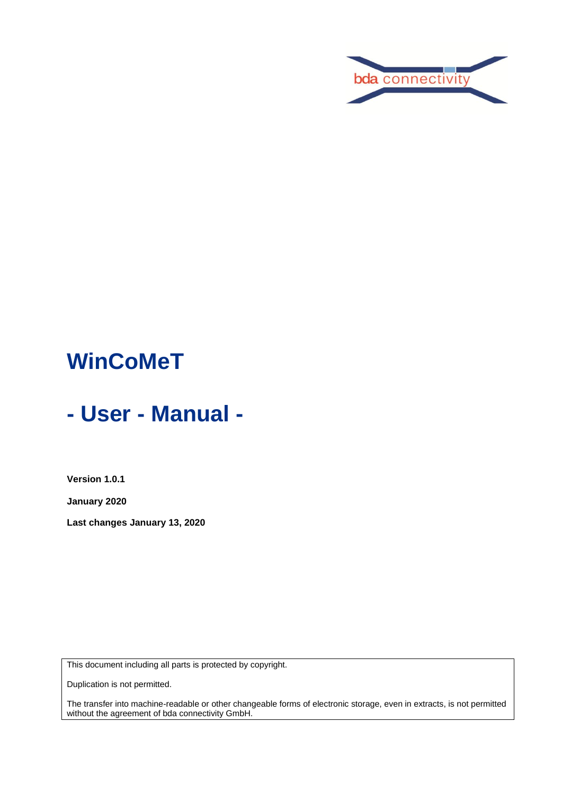

# **WinCoMeT**

# **- User - Manual -**

**Version 1.0.1**

**January 2020**

**Last changes January 13, 2020**

This document including all parts is protected by copyright.

Duplication is not permitted.

The transfer into machine-readable or other changeable forms of electronic storage, even in extracts, is not permitted without the agreement of bda connectivity GmbH.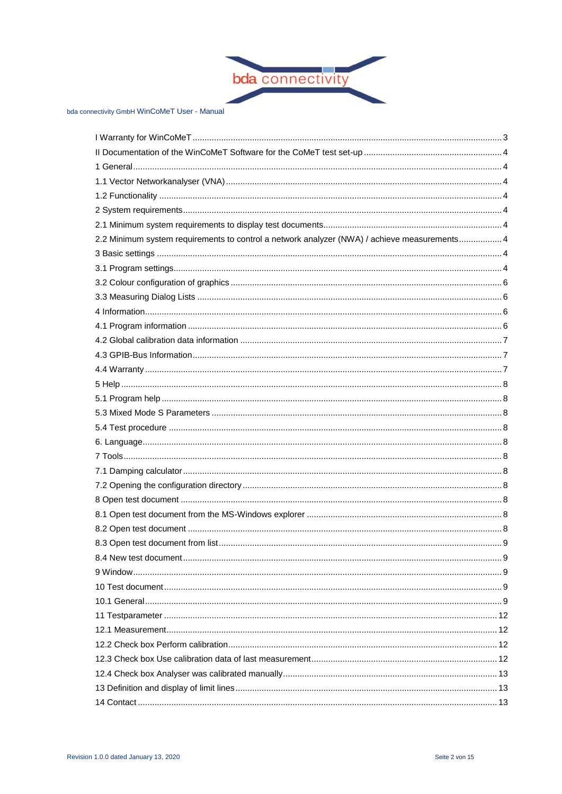

| 2.2 Minimum system requirements to control a network analyzer (NWA) / achieve measurements 4 |  |
|----------------------------------------------------------------------------------------------|--|
|                                                                                              |  |
|                                                                                              |  |
|                                                                                              |  |
|                                                                                              |  |
|                                                                                              |  |
|                                                                                              |  |
|                                                                                              |  |
|                                                                                              |  |
|                                                                                              |  |
|                                                                                              |  |
|                                                                                              |  |
|                                                                                              |  |
|                                                                                              |  |
|                                                                                              |  |
|                                                                                              |  |
|                                                                                              |  |
|                                                                                              |  |
|                                                                                              |  |
|                                                                                              |  |
|                                                                                              |  |
|                                                                                              |  |
|                                                                                              |  |
|                                                                                              |  |
|                                                                                              |  |
|                                                                                              |  |
|                                                                                              |  |
|                                                                                              |  |
|                                                                                              |  |
|                                                                                              |  |
|                                                                                              |  |
|                                                                                              |  |
|                                                                                              |  |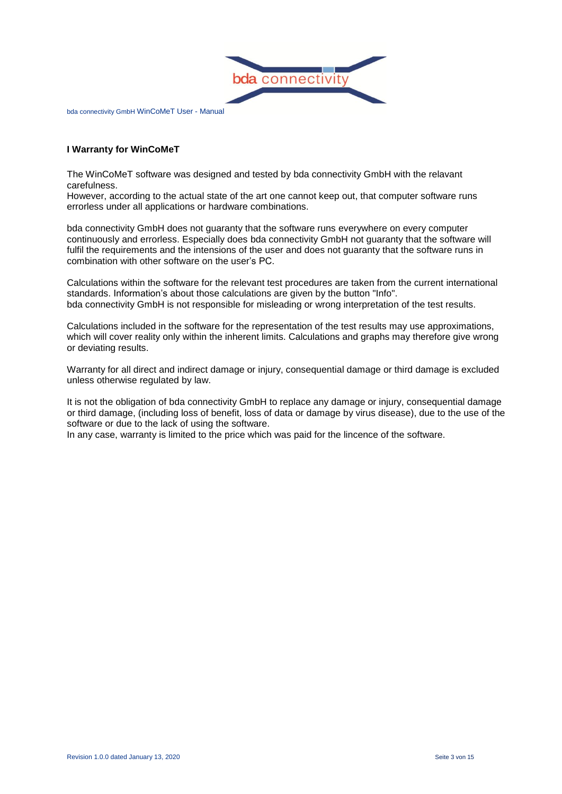

# <span id="page-2-0"></span>**I Warranty for WinCoMeT**

The WinCoMeT software was designed and tested by bda connectivity GmbH with the relavant carefulness.

However, according to the actual state of the art one cannot keep out, that computer software runs errorless under all applications or hardware combinations.

bda connectivity GmbH does not guaranty that the software runs everywhere on every computer continuously and errorless. Especially does bda connectivity GmbH not guaranty that the software will fulfil the requirements and the intensions of the user and does not guaranty that the software runs in combination with other software on the user's PC.

Calculations within the software for the relevant test procedures are taken from the current international standards. Information's about those calculations are given by the button "Info". bda connectivity GmbH is not responsible for misleading or wrong interpretation of the test results.

Calculations included in the software for the representation of the test results may use approximations, which will cover reality only within the inherent limits. Calculations and graphs may therefore give wrong or deviating results.

Warranty for all direct and indirect damage or injury, consequential damage or third damage is excluded unless otherwise regulated by law.

It is not the obligation of bda connectivity GmbH to replace any damage or injury, consequential damage or third damage, (including loss of benefit, loss of data or damage by virus disease), due to the use of the software or due to the lack of using the software.

In any case, warranty is limited to the price which was paid for the lincence of the software.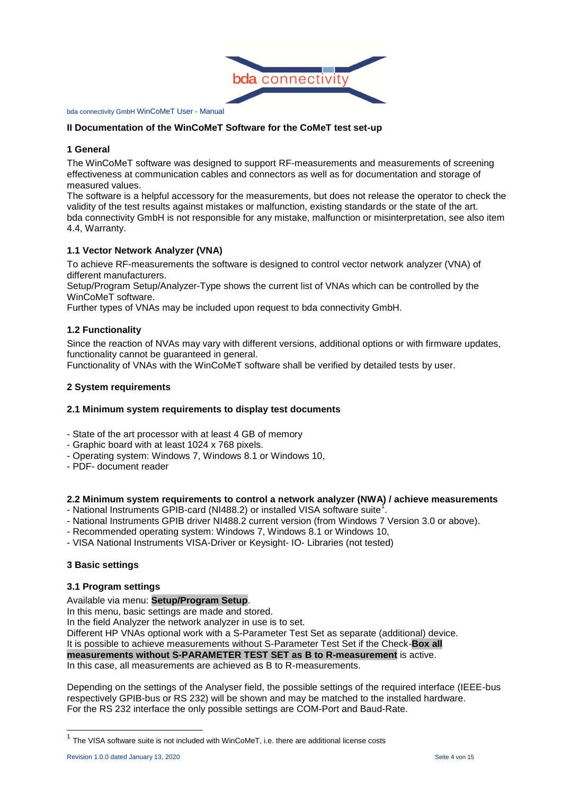

#### <span id="page-3-0"></span>**II Documentation of the WinCoMeT Software for the CoMeT test set-up**

#### <span id="page-3-1"></span>**1 General**

The WinCoMeT software was designed to support RF-measurements and measurements of screening effectiveness at communication cables and connectors as well as for documentation and storage of measured values.

The software is a helpful accessory for the measurements, but does not release the operator to check the validity of the test results against mistakes or malfunction, existing standards or the state of the art. bda connectivity GmbH is not responsible for any mistake, malfunction or misinterpretation, see also item 4.4, Warranty.

### <span id="page-3-2"></span>**1.1 Vector Network Analyzer (VNA)**

To achieve RF-measurements the software is designed to control vector network analyzer (VNA) of different manufacturers.

Setup/Program Setup/Analyzer-Type shows the current list of VNAs which can be controlled by the WinCoMeT software.

Further types of VNAs may be included upon request to bda connectivity GmbH.

### <span id="page-3-3"></span>**1.2 Functionality**

Since the reaction of NVAs may vary with different versions, additional options or with firmware updates, functionality cannot be guaranteed in general.

<span id="page-3-4"></span>Functionality of VNAs with the WinCoMeT software shall be verified by detailed tests by user.

#### **2 System requirements**

#### <span id="page-3-5"></span>**2.1 Minimum system requirements to display test documents**

- State of the art processor with at least 4 GB of memory
- Graphic board with at least 1024 x 768 pixels.
- Operating system: Windows 7, Windows 8.1 or Windows 10,
- PDF- document reader

#### <span id="page-3-6"></span>**2.2 Minimum system requirements to control a network analyzer (NWA) / achieve measurements**

- National Instruments GPIB-card (NI488.2) or installed VISA software suite<sup>1</sup>.
- National Instruments GPIB driver NI488.2 current version (from Windows 7 Version 3.0 or above).
- Recommended operating system: Windows 7, Windows 8.1 or Windows 10,
- <span id="page-3-7"></span>- VISA National Instruments VISA-Driver or Keysight- IO- Libraries (not tested)

#### **3 Basic settings**

#### <span id="page-3-8"></span>**3.1 Program settings**

Available via menu: **Setup/Program Setup**.

In this menu, basic settings are made and stored.

In the field Analyzer the network analyzer in use is to set.

Different HP VNAs optional work with a S-Parameter Test Set as separate (additional) device.

It is possible to achieve measurements without S-Parameter Test Set if the Check-**Box all** 

**measurements without S-PARAMETER TEST SET as B to R-measurement** is active.

In this case, all measurements are achieved as B to R-measurements.

Depending on the settings of the Analyser field, the possible settings of the required interface (IEEE-bus respectively GPIB-bus or RS 232) will be shown and may be matched to the installed hardware. For the RS 232 interface the only possible settings are COM-Port and Baud-Rate.

 $\overline{\phantom{a}}$ 

<sup>&</sup>lt;sup>1</sup> The VISA software suite is not included with WinCoMeT, i.e. there are additional license costs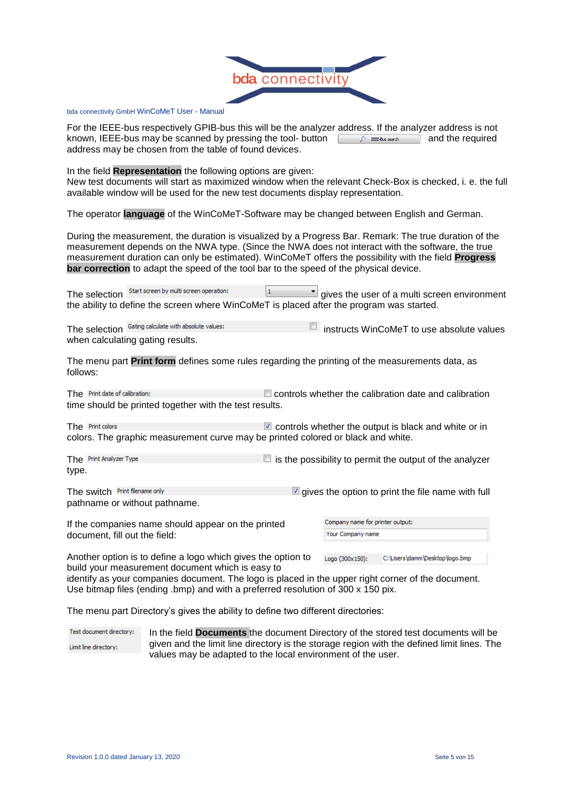

For the IEEE-bus respectively GPIB-bus this will be the analyzer address. If the analyzer address is not known, IEEE-bus may be scanned by pressing the tool- button  $\Box$  **Densoles and and the required** address may be chosen from the table of found devices.

In the field **Representation** the following options are given:

New test documents will start as maximized window when the relevant Check-Box is checked, i. e. the full available window will be used for the new test documents display representation.

The operator **language** of the WinCoMeT-Software may be changed between English and German.

During the measurement, the duration is visualized by a Progress Bar. Remark: The true duration of the measurement depends on the NWA type. (Since the NWA does not interact with the software, the true measurement duration can only be estimated). WinCoMeT offers the possibility with the field **Progress bar correction** to adapt the speed of the tool bar to the speed of the physical device.

The selection  $\frac{\text{Start screen by multi screen operation:}}{}$   $\boxed{1}$   $\boxed{3}$  gives the user of a multi screen environment the ability to define the screen where WinCoMeT is placed after the program was started.

The selection  $\frac{1}{2}$  Gating calculate with absolute values:  $\Box$  instructs WinCoMeT to use absolute values when calculating gating results.

The menu part **Print form** defines some rules regarding the printing of the measurements data, as follows:

The  $P$ rint date of calibration:  $\Box$  controls whether the calibration date and calibration time should be printed together with the test results.

The Print colors  $\Box$  controls whether the output is black and white or in colors. The graphic measurement curve may be printed colored or black and white.

The  $\frac{Print$  Analyzer Type  $\Box$  is the possibility to permit the output of the analyzer type.

The switch  $P$  int flename only  $\Box$  gives the option to print the file name with full pathname or without pathname.

If the companies name should appear on the printed document, fill out the field:

| Company name for printer output: |
|----------------------------------|
| Your Company name                |
|                                  |

Another option is to define a logo which gives the option to build your measurement document which is easy to

Logo (300x150): C:\Users\damm\Desktop\logo.bmp

identify as your companies document. The logo is placed in the upper right corner of the document. Use bitmap files (ending .bmp) and with a preferred resolution of 300 x 150 pix.

The menu part Directory's gives the ability to define two different directories:

Test document directory: In the field **Documents** the document Directory of the stored test documents will be given and the limit line directory is the storage region with the defined limit lines. The Limit line directory: values may be adapted to the local environment of the user.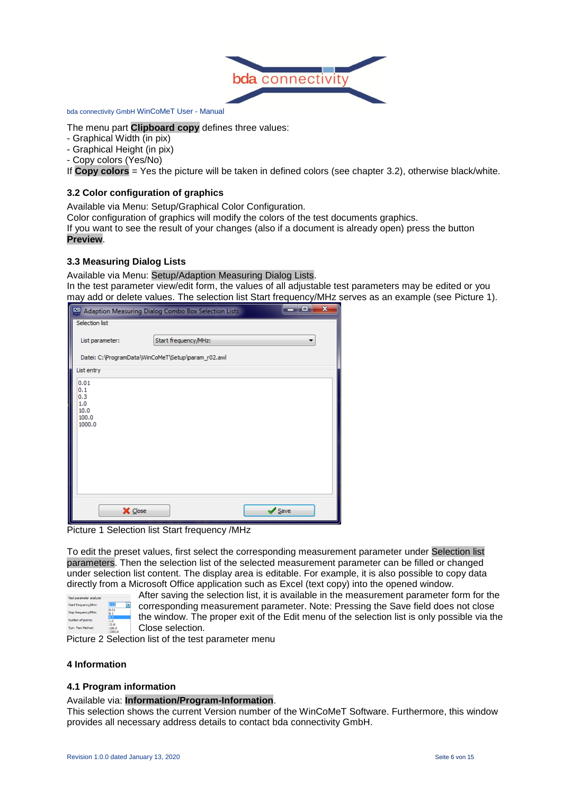

The menu part **Clipboard copy** defines three values:

- Graphical Width (in pix)
- Graphical Height (in pix)
- Copy colors (Yes/No)

If **Copy colors** = Yes the picture will be taken in defined colors (see chapter 3.2), otherwise black/white.

#### <span id="page-5-0"></span>**3.2 Color configuration of graphics**

Available via Menu: Setup/Graphical Color Configuration.

Color configuration of graphics will modify the colors of the test documents graphics.

If you want to see the result of your changes (also if a document is already open) press the button **Preview**.

#### <span id="page-5-1"></span>**3.3 Measuring Dialog Lists**

Available via Menu: Setup/Adaption Measuring Dialog Lists.

In the test parameter view/edit form, the values of all adjustable test parameters may be edited or you may add or delete values. The selection list Start frequency/MHz serves as an example (see Picture 1).

|                                                      | Adaption Measuring Dialog Combo Box Selection Lists | Ŧо   | $\mathbf{x}$ |
|------------------------------------------------------|-----------------------------------------------------|------|--------------|
| Selection list                                       |                                                     |      |              |
| List parameter:                                      | Start frequency/MHz:                                |      |              |
|                                                      | Datei: C:\ProgramData\WinCoMeT\Setup\param_r02.awl  |      |              |
| List entry<br>ľ                                      |                                                     |      |              |
| 0.01<br>0.1<br>0.3<br>1.0<br>10.0<br>100.0<br>1000.0 |                                                     |      |              |
| X Close                                              |                                                     | Save |              |

Picture 1 Selection list Start frequency /MHz

To edit the preset values, first select the corresponding measurement parameter under Selection list parameters. Then the selection list of the selected measurement parameter can be filled or changed under selection list content. The display area is editable. For example, it is also possible to copy data directly from a Microsoft Office application such as Excel (text copy) into the opened window.

> After saving the selection list, it is available in the measurement parameter form for the  $\overline{\phantom{a}}$ corresponding measurement parameter. Note: Pressing the Save field does not close the window. The proper exit of the Edit menu of the selection list is only possible via the Close selection.

Picture 2 Selection list of the test parameter menu

# <span id="page-5-2"></span>**4 Information**

Start frequency/MHz:

Stop frequency/MHz: umber of points: Sym, Test Method:

#### <span id="page-5-3"></span>**4.1 Program information**

#### Available via: **Information/Program-Information**.

This selection shows the current Version number of the WinCoMeT Software. Furthermore, this window provides all necessary address details to contact bda connectivity GmbH.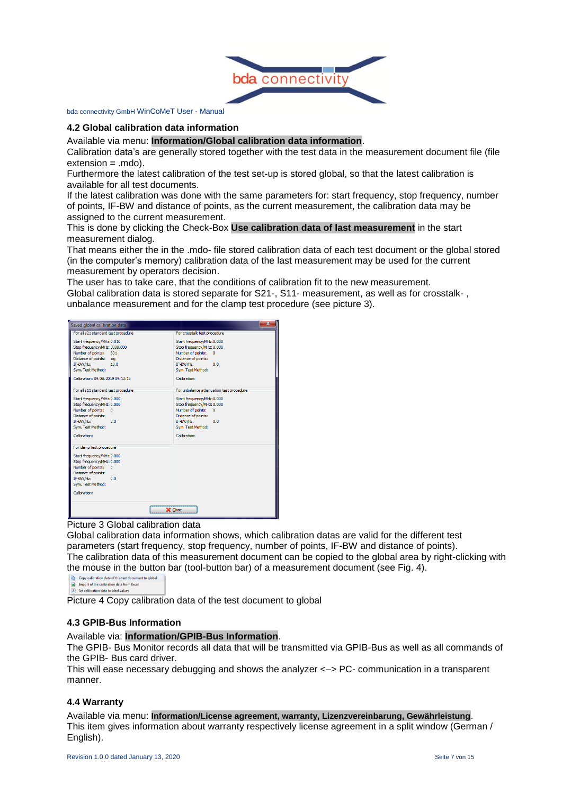

#### <span id="page-6-0"></span>**4.2 Global calibration data information**

Available via menu: **Information/Global calibration data information**.

Calibration data's are generally stored together with the test data in the measurement document file (file extension = .mdo).

Furthermore the latest calibration of the test set-up is stored global, so that the latest calibration is available for all test documents.

If the latest calibration was done with the same parameters for: start frequency, stop frequency, number of points, IF-BW and distance of points, as the current measurement, the calibration data may be assigned to the current measurement.

This is done by clicking the Check-Box **Use calibration data of last measurement** in the start measurement dialog.

That means either the in the .mdo- file stored calibration data of each test document or the global stored (in the computer's memory) calibration data of the last measurement may be used for the current measurement by operators decision.

The user has to take care, that the conditions of calibration fit to the new measurement. Global calibration data is stored separate for S21-, S11- measurement, as well as for crosstalk- ,

unbalance measurement and for the clamp test procedure (see picture 3).

| $\mathbf{x}$<br>Saved global calibration data                                                                                                                                                       |                                                                                                                                                                             |  |  |  |
|-----------------------------------------------------------------------------------------------------------------------------------------------------------------------------------------------------|-----------------------------------------------------------------------------------------------------------------------------------------------------------------------------|--|--|--|
| For all s21 standard test procedure                                                                                                                                                                 | For crosstalk test procedure                                                                                                                                                |  |  |  |
| Start frequency/MHz:0.010<br>Stop frequency/MHz: 3000.000<br>Number of points:<br>801<br>Distance of points:<br>loa<br>IF-BW/Hz:<br>10.0<br>Sym. Test Method:<br>Calibration: 09.08.2019 09:13:15   | Start frequency/MHz:0.000<br>Stop frequency/MHz: 0.000<br>Number of points:<br>$\mathbf{0}$<br>Distance of points:<br>IF-BW/Hz:<br>0.0<br>Sym. Test Method:<br>Calibration: |  |  |  |
| For all s11 standard test procedure                                                                                                                                                                 | For unbalance attenuation test procedure                                                                                                                                    |  |  |  |
| Start frequency/MHz:0.000<br>Stop frequency/MHz: 0.000<br>Number of points:<br>$\mathbf{0}$<br>Distance of points:<br>IF-BW/Hz:<br>0.0<br>Sym. Test Method:<br>Calibration:                         | Start frequency/MHz:0.000<br>Stop frequency/MHz: 0.000<br>Number of points:<br>$\mathbf{0}$<br>Distance of points:<br>IF-BW/Hz:<br>0.0<br>Sym. Test Method:<br>Calibration: |  |  |  |
| For clamp test procedure<br>Start frequency/MHz:0.000<br>Stop frequency/MHz: 0.000<br>Number of points:<br>$\Omega$<br>Distance of points:<br>IF-BW/Hz:<br>0.0<br>Svm. Test Method:<br>Calibration: |                                                                                                                                                                             |  |  |  |
|                                                                                                                                                                                                     | X Close                                                                                                                                                                     |  |  |  |

Picture 3 Global calibration data

Global calibration data information shows, which calibration datas are valid for the different test parameters (start frequency, stop frequency, number of points, IF-BW and distance of points). The calibration data of this measurement document can be copied to the global area by right-clicking with the mouse in the button bar (tool-button bar) of a measurement document (see Fig. 4).

 $\boxed{I}$  Set calibration data to ideal values

<span id="page-6-1"></span>Picture 4 Copy calibration data of the test document to global

#### **4.3 GPIB-Bus Information**

Available via: **Information/GPIB-Bus Information**.

The GPIB- Bus Monitor records all data that will be transmitted via GPIB-Bus as well as all commands of the GPIB- Bus card driver.

This will ease necessary debugging and shows the analyzer <–> PC- communication in a transparent manner.

#### <span id="page-6-2"></span>**4.4 Warranty**

Available via menu: **Information/License agreement, warranty, Lizenzvereinbarung, Gewährleistung**. This item gives information about warranty respectively license agreement in a split window (German / English).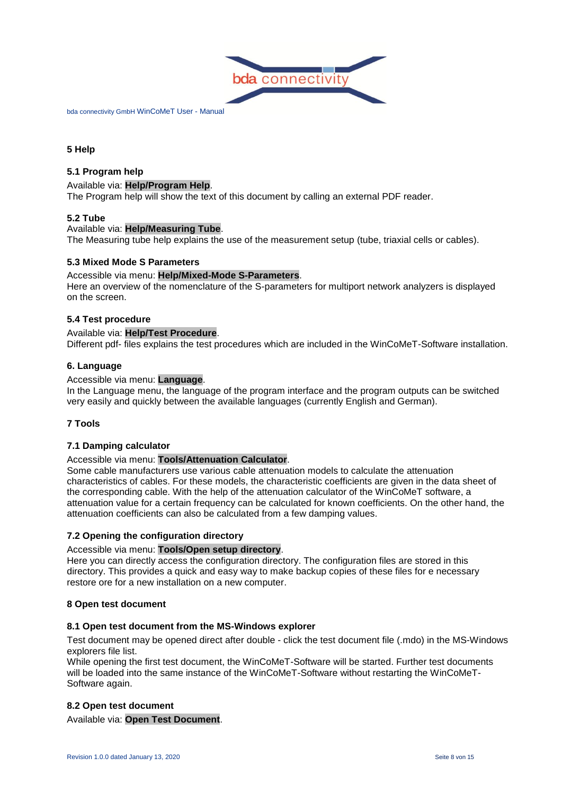

# <span id="page-7-0"></span>**5 Help**

# <span id="page-7-1"></span>**5.1 Program help**

#### Available via: **Help/Program Help**.

The Program help will show the text of this document by calling an external PDF reader.

#### **5.2 Tube**

#### Available via: **Help/Measuring Tube**.

<span id="page-7-2"></span>The Measuring tube help explains the use of the measurement setup (tube, triaxial cells or cables).

#### **5.3 Mixed Mode S Parameters**

#### Accessible via menu: **Help/Mixed-Mode S-Parameters**.

Here an overview of the nomenclature of the S-parameters for multiport network analyzers is displayed on the screen.

#### <span id="page-7-3"></span>**5.4 Test procedure**

#### Available via: **Help/Test Procedure**.

<span id="page-7-4"></span>Different pdf- files explains the test procedures which are included in the WinCoMeT-Software installation.

#### **6. Language**

#### Accessible via menu: **Language**.

In the Language menu, the language of the program interface and the program outputs can be switched very easily and quickly between the available languages (currently English and German).

#### <span id="page-7-5"></span>**7 Tools**

#### <span id="page-7-6"></span>**7.1 Damping calculator**

#### Accessible via menu: **Tools/Attenuation Calculator**.

Some cable manufacturers use various cable attenuation models to calculate the attenuation characteristics of cables. For these models, the characteristic coefficients are given in the data sheet of the corresponding cable. With the help of the attenuation calculator of the WinCoMeT software, a attenuation value for a certain frequency can be calculated for known coefficients. On the other hand, the attenuation coefficients can also be calculated from a few damping values.

#### <span id="page-7-7"></span>**7.2 Opening the configuration directory**

#### Accessible via menu: **Tools/Open setup directory**.

Here you can directly access the configuration directory. The configuration files are stored in this directory. This provides a quick and easy way to make backup copies of these files for e necessary restore ore for a new installation on a new computer.

#### <span id="page-7-8"></span>**8 Open test document**

#### <span id="page-7-9"></span>**8.1 Open test document from the MS-Windows explorer**

Test document may be opened direct after double - click the test document file (.mdo) in the MS-Windows explorers file list.

While opening the first test document, the WinCoMeT-Software will be started. Further test documents will be loaded into the same instance of the WinCoMeT-Software without restarting the WinCoMeT-Software again.

#### <span id="page-7-10"></span>**8.2 Open test document**

Available via: **Open Test Document**.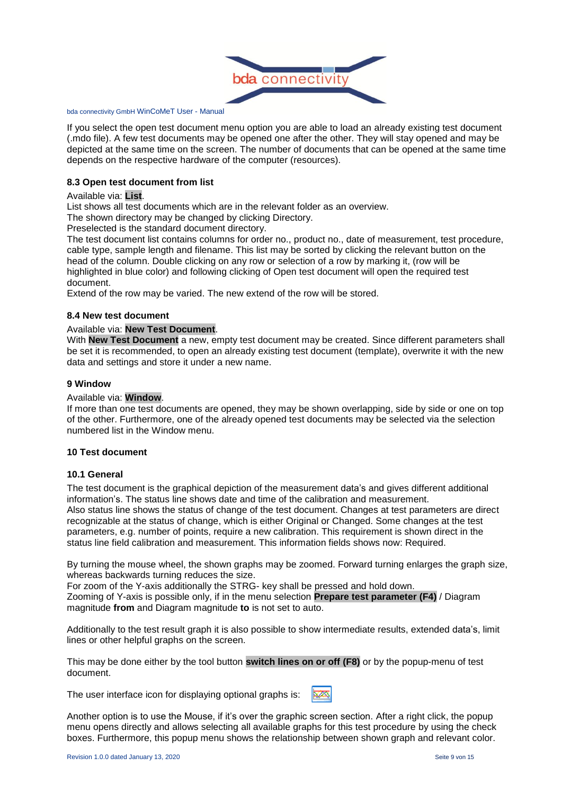

If you select the open test document menu option you are able to load an already existing test document (.mdo file). A few test documents may be opened one after the other. They will stay opened and may be depicted at the same time on the screen. The number of documents that can be opened at the same time depends on the respective hardware of the computer (resources).

# <span id="page-8-0"></span>**8.3 Open test document from list**

#### Available via: **List**.

List shows all test documents which are in the relevant folder as an overview.

The shown directory may be changed by clicking Directory.

Preselected is the standard document directory.

The test document list contains columns for order no., product no., date of measurement, test procedure, cable type, sample length and filename. This list may be sorted by clicking the relevant button on the head of the column. Double clicking on any row or selection of a row by marking it, (row will be highlighted in blue color) and following clicking of Open test document will open the required test document.

<span id="page-8-1"></span>Extend of the row may be varied. The new extend of the row will be stored.

#### **8.4 New test document**

#### Available via: **New Test Document**.

With **New Test Document** a new, empty test document may be created. Since different parameters shall be set it is recommended, to open an already existing test document (template), overwrite it with the new data and settings and store it under a new name.

#### <span id="page-8-2"></span>**9 Window**

#### Available via: **Window**.

If more than one test documents are opened, they may be shown overlapping, side by side or one on top of the other. Furthermore, one of the already opened test documents may be selected via the selection numbered list in the Window menu.

#### <span id="page-8-3"></span>**10 Test document**

#### <span id="page-8-4"></span>**10.1 General**

The test document is the graphical depiction of the measurement data's and gives different additional information's. The status line shows date and time of the calibration and measurement. Also status line shows the status of change of the test document. Changes at test parameters are direct recognizable at the status of change, which is either Original or Changed. Some changes at the test parameters, e.g. number of points, require a new calibration. This requirement is shown direct in the status line field calibration and measurement. This information fields shows now: Required.

By turning the mouse wheel, the shown graphs may be zoomed. Forward turning enlarges the graph size, whereas backwards turning reduces the size.

For zoom of the Y-axis additionally the STRG- key shall be pressed and hold down.

Zooming of Y-axis is possible only, if in the menu selection **Prepare test parameter (F4)** / Diagram magnitude **from** and Diagram magnitude **to** is not set to auto.

Additionally to the test result graph it is also possible to show intermediate results, extended data's, limit lines or other helpful graphs on the screen.

This may be done either by the tool button **switch lines on or off (F8)** or by the popup-menu of test document.

The user interface icon for displaying optional graphs is:

Another option is to use the Mouse, if it's over the graphic screen section. After a right click, the popup menu opens directly and allows selecting all available graphs for this test procedure by using the check boxes. Furthermore, this popup menu shows the relationship between shown graph and relevant color.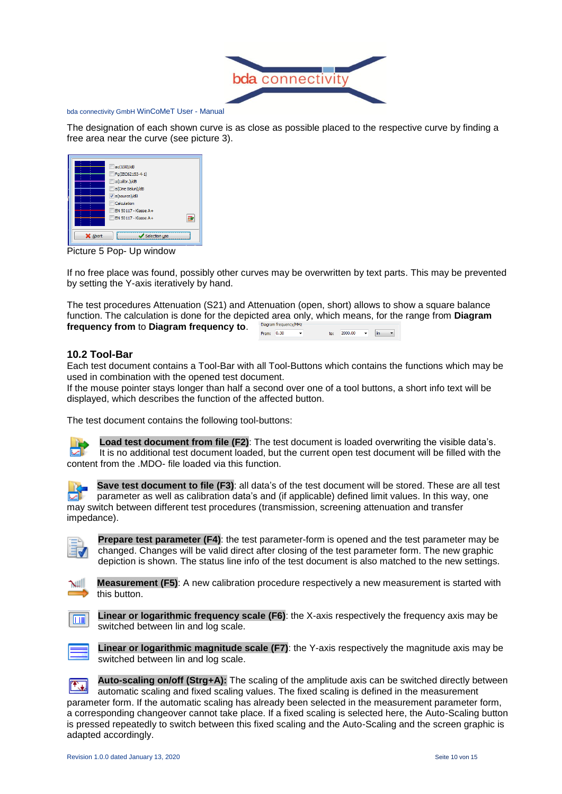

The designation of each shown curve is as close as possible placed to the respective curve by finding a free area near the curve (see picture 3).

|         | $\Box$ ac(150)/dB<br>Fq(IEC62153-4-1)<br>a(calibr.)/dB<br>a(One Balun)/dB<br>$\triangledown$ a(source)/dB<br>Calculation |  |
|---------|--------------------------------------------------------------------------------------------------------------------------|--|
| X Abort | EN 50117 - Klasse A+<br>EN 50117 - Klasse A+<br>Selection use                                                            |  |

Picture 5 Pop- Up window

If no free place was found, possibly other curves may be overwritten by text parts. This may be prevented by setting the Y-axis iteratively by hand.

The test procedures Attenuation (S21) and Attenuation (open, short) allows to show a square balance function. The calculation is done for the depicted area only, which means, for the range from **Diagram frequency from** to **Diagram frequency to**. From:  $\overline{0.30}$ to:  $2000.00$   $\rightarrow$   $\boxed{\text{lin}}$   $\rightarrow$ 

# **10.2 Tool-Bar**

Each test document contains a Tool-Bar with all Tool-Buttons which contains the functions which may be used in combination with the opened test document.

If the mouse pointer stays longer than half a second over one of a tool buttons, a short info text will be displayed, which describes the function of the affected button.

The test document contains the following tool-buttons:

**Load test document from file (F2)**: The test document is loaded overwriting the visible data's. It is no additional test document loaded, but the current open test document will be filled with the content from the .MDO- file loaded via this function.

**Save test document to file (F3)**: all data's of the test document will be stored. These are all test parameter as well as calibration data's and (if applicable) defined limit values. In this way, one may switch between different test procedures (transmission, screening attenuation and transfer impedance).

**Prepare test parameter (F4)**: the test parameter-form is opened and the test parameter may be changed. Changes will be valid direct after closing of the test parameter form. The new graphic depiction is shown. The status line info of the test document is also matched to the new settings.



**Measurement (F5)**: A new calibration procedure respectively a new measurement is started with this button.



**Linear or logarithmic frequency scale (F6)**: the X-axis respectively the frequency axis may be switched between lin and log scale.



**Linear or logarithmic magnitude scale (F7)**: the Y-axis respectively the magnitude axis may be switched between lin and log scale.

**Auto-scaling on/off (Strg+A):** The scaling of the amplitude axis can be switched directly between 医口 automatic scaling and fixed scaling values. The fixed scaling is defined in the measurement parameter form. If the automatic scaling has already been selected in the measurement parameter form, a corresponding changeover cannot take place. If a fixed scaling is selected here, the Auto-Scaling button is pressed repeatedly to switch between this fixed scaling and the Auto-Scaling and the screen graphic is adapted accordingly.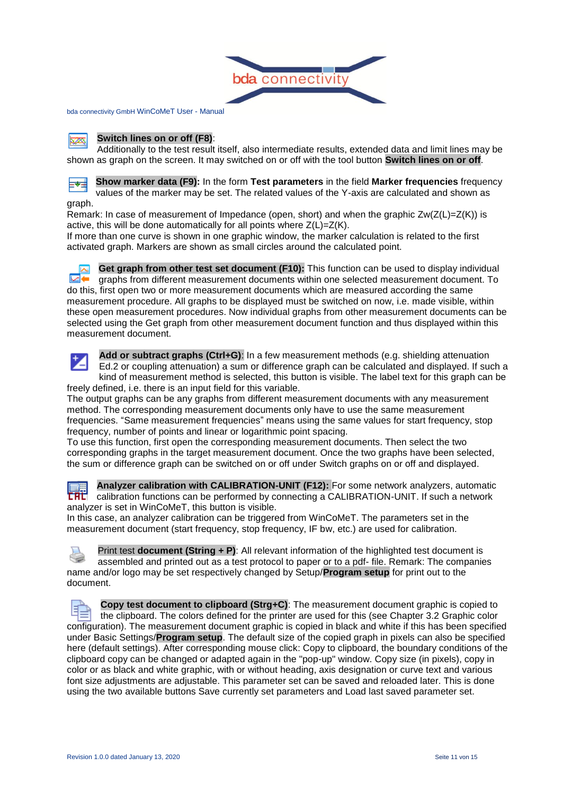

#### **Switch lines on or off (F8)**: <u>Ivas</u>

Additionally to the test result itself, also intermediate results, extended data and limit lines may be shown as graph on the screen. It may switched on or off with the tool button **Switch lines on or off**.



**Show marker data (F9):** In the form **Test parameters** in the field **Marker frequencies** frequency values of the marker may be set. The related values of the Y-axis are calculated and shown as graph.

Remark: In case of measurement of Impedance (open, short) and when the graphic  $Zw(Z(L)=Z(K))$  is active, this will be done automatically for all points where Z(L)=Z(K).

If more than one curve is shown in one graphic window, the marker calculation is related to the first activated graph. Markers are shown as small circles around the calculated point.

**Get graph from other test set document (F10):** This function can be used to display individual ⊠⊷ graphs from different measurement documents within one selected measurement document. To do this, first open two or more measurement documents which are measured according the same measurement procedure. All graphs to be displayed must be switched on now, i.e. made visible, within these open measurement procedures. Now individual graphs from other measurement documents can be selected using the Get graph from other measurement document function and thus displayed within this measurement document.



**Add or subtract graphs (Ctrl+G)**: In a few measurement methods (e.g. shielding attenuation Ed.2 or coupling attenuation) a sum or difference graph can be calculated and displayed. If such a kind of measurement method is selected, this button is visible. The label text for this graph can be freely defined, i.e. there is an input field for this variable.

The output graphs can be any graphs from different measurement documents with any measurement method. The corresponding measurement documents only have to use the same measurement frequencies. "Same measurement frequencies" means using the same values for start frequency, stop frequency, number of points and linear or logarithmic point spacing.

To use this function, first open the corresponding measurement documents. Then select the two corresponding graphs in the target measurement document. Once the two graphs have been selected, the sum or difference graph can be switched on or off under Switch graphs on or off and displayed.

**Analyzer calibration with CALIBRATION-UNIT (F12):** For some network analyzers, automatic calibration functions can be performed by connecting a CALIBRATION-UNIT. If such a network analyzer is set in WinCoMeT, this button is visible.

In this case, an analyzer calibration can be triggered from WinCoMeT. The parameters set in the measurement document (start frequency, stop frequency, IF bw, etc.) are used for calibration.

Print test **document (String + P)**: All relevant information of the highlighted test document is assembled and printed out as a test protocol to paper or to a pdf- file. Remark: The companies name and/or logo may be set respectively changed by Setup/**Program setup** for print out to the document.

**Copy test document to clipboard (Strg+C)**: The measurement document graphic is copied to the clipboard. The colors defined for the printer are used for this (see Chapter 3.2 Graphic color configuration). The measurement document graphic is copied in black and white if this has been specified under Basic Settings/**Program setup**. The default size of the copied graph in pixels can also be specified here (default settings). After corresponding mouse click: Copy to clipboard, the boundary conditions of the clipboard copy can be changed or adapted again in the "pop-up" window. Copy size (in pixels), copy in color or as black and white graphic, with or without heading, axis designation or curve text and various font size adjustments are adjustable. This parameter set can be saved and reloaded later. This is done using the two available buttons Save currently set parameters and Load last saved parameter set.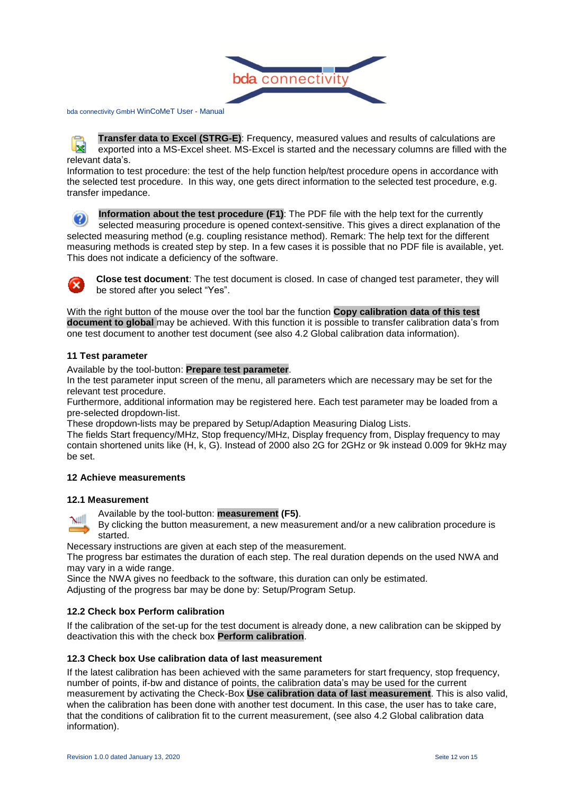

**Transfer data to Excel (STRG-E)**: Frequency, measured values and results of calculations are **NZ** exported into a MS-Excel sheet. MS-Excel is started and the necessary columns are filled with the relevant data's.

Information to test procedure: the test of the help function help/test procedure opens in accordance with the selected test procedure. In this way, one gets direct information to the selected test procedure, e.g. transfer impedance.

**Information about the test procedure (F1)**: The PDF file with the help text for the currently selected measuring procedure is opened context-sensitive. This gives a direct explanation of the selected measuring method (e.g. coupling resistance method). Remark: The help text for the different measuring methods is created step by step. In a few cases it is possible that no PDF file is available, yet. This does not indicate a deficiency of the software.



**Close test document**: The test document is closed. In case of changed test parameter, they will be stored after you select "Yes".

With the right button of the mouse over the tool bar the function **Copy calibration data of this test document to global** may be achieved. With this function it is possible to transfer calibration data's from one test document to another test document (see also 4.2 Global calibration data information).

#### <span id="page-11-0"></span>**11 Test parameter**

Available by the tool-button: **Prepare test parameter**.

In the test parameter input screen of the menu, all parameters which are necessary may be set for the relevant test procedure.

Furthermore, additional information may be registered here. Each test parameter may be loaded from a pre-selected dropdown-list.

These dropdown-lists may be prepared by Setup/Adaption Measuring Dialog Lists.

The fields Start frequency/MHz, Stop frequency/MHz, Display frequency from, Display frequency to may contain shortened units like (H, k, G). Instead of 2000 also 2G for 2GHz or 9k instead 0.009 for 9kHz may be set.

# <span id="page-11-1"></span>**12 Achieve measurements**

#### **12.1 Measurement**

Available by the tool-button: **measurement (F5)**.

 $N$ By clicking the button measurement, a new measurement and/or a new calibration procedure is started.

Necessary instructions are given at each step of the measurement.

The progress bar estimates the duration of each step. The real duration depends on the used NWA and may vary in a wide range.

Since the NWA gives no feedback to the software, this duration can only be estimated.

<span id="page-11-2"></span>Adjusting of the progress bar may be done by: Setup/Program Setup.

#### **12.2 Check box Perform calibration**

If the calibration of the set-up for the test document is already done, a new calibration can be skipped by deactivation this with the check box **Perform calibration**.

#### <span id="page-11-3"></span>**12.3 Check box Use calibration data of last measurement**

If the latest calibration has been achieved with the same parameters for start frequency, stop frequency, number of points, if-bw and distance of points, the calibration data's may be used for the current measurement by activating the Check-Box **Use calibration data of last measurement**. This is also valid, when the calibration has been done with another test document. In this case, the user has to take care, that the conditions of calibration fit to the current measurement, (see also 4.2 Global calibration data information).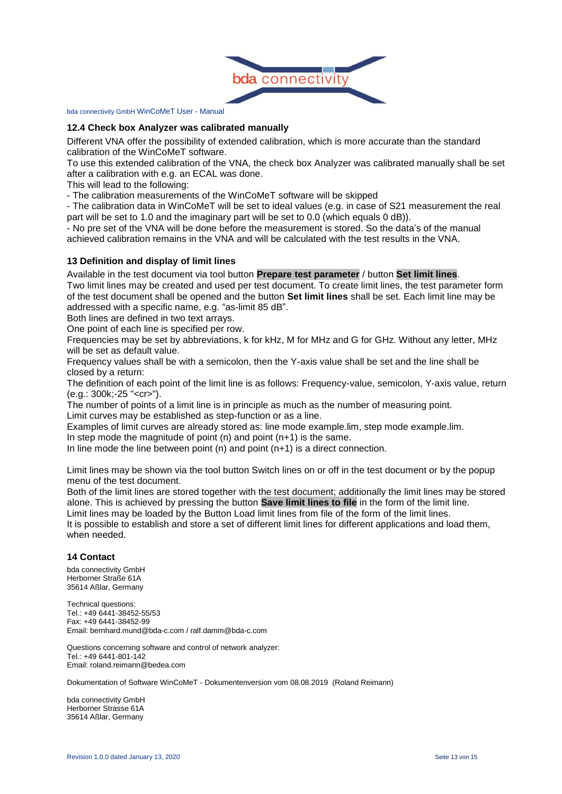

#### <span id="page-12-0"></span>**12.4 Check box Analyzer was calibrated manually**

Different VNA offer the possibility of extended calibration, which is more accurate than the standard calibration of the WinCoMeT software.

To use this extended calibration of the VNA, the check box Analyzer was calibrated manually shall be set after a calibration with e.g. an ECAL was done.

This will lead to the following:

- The calibration measurements of the WinCoMeT software will be skipped

- The calibration data in WinCoMeT will be set to ideal values (e.g. in case of S21 measurement the real part will be set to 1.0 and the imaginary part will be set to 0.0 (which equals 0 dB)).

- No pre set of the VNA will be done before the measurement is stored. So the data's of the manual achieved calibration remains in the VNA and will be calculated with the test results in the VNA.

#### <span id="page-12-1"></span>**13 Definition and display of limit lines**

Available in the test document via tool button **Prepare test parameter** / button **Set limit lines**.

Two limit lines may be created and used per test document. To create limit lines, the test parameter form of the test document shall be opened and the button **Set limit lines** shall be set. Each limit line may be addressed with a specific name, e.g. "as-limit 85 dB".

Both lines are defined in two text arrays.

One point of each line is specified per row.

Frequencies may be set by abbreviations, k for kHz, M for MHz and G for GHz. Without any letter, MHz will be set as default value.

Frequency values shall be with a semicolon, then the Y-axis value shall be set and the line shall be closed by a return:

The definition of each point of the limit line is as follows: Frequency-value, semicolon, Y-axis value, return (e.g.: 300k;-25 "<cr>").

The number of points of a limit line is in principle as much as the number of measuring point. Limit curves may be established as step-function or as a line.

Examples of limit curves are already stored as: line mode example.lim, step mode example.lim.

In step mode the magnitude of point  $(n)$  and point  $(n+1)$  is the same.

In line mode the line between point (n) and point (n+1) is a direct connection.

Limit lines may be shown via the tool button Switch lines on or off in the test document or by the popup menu of the test document.

Both of the limit lines are stored together with the test document; additionally the limit lines may be stored alone. This is achieved by pressing the button **Save limit lines to file** in the form of the limit line. Limit lines may be loaded by the Button Load limit lines from file of the form of the limit lines.

It is possible to establish and store a set of different limit lines for different applications and load them, when needed.

#### <span id="page-12-2"></span>**14 Contact**

bda connectivity GmbH Herborner Straße 61A 35614 Aßlar, Germany

Technical questions: Tel.: +49 6441-38452-55/53 Fax: +49 6441-38452-99 Email: bernhard.mund@bda-c.com / ralf.damm@bda-c.com

Questions concerning software and control of network analyzer: Tel.: +49 6441-801-142 Email: roland.reimann@bedea.com

Dokumentation of Software WinCoMeT - Dokumentenversion vom 08.08.2019 (Roland Reimann)

bda connectivity GmbH Herborner Strasse 61A 35614 Aßlar, Germany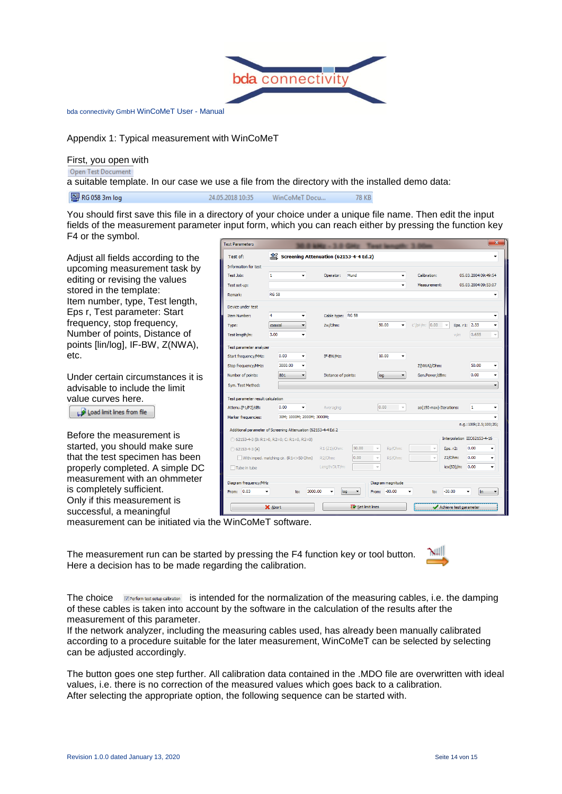

Appendix 1: Typical measurement with WinCoMeT

First, you open with

Open Test Document

a suitable template. In our case we use a file from the directory with the installed demo data:

24.05.2018 10:35

图 RG 058 3m log

You should first save this file in a directory of your choice under a unique file name. Then edit the input fields of the measurement parameter input form, which you can reach either by pressing the function key F4 or the symbol.

WinCoMeT Docu...

Adjust all fields according to the upcoming measurement task by editing or revising the values stored in the template: Item number, type, Test length, Eps r, Test parameter: Start frequency, stop frequency, Number of points, Distance of points [lin/log], IF-BW, Z(NWA), etc.

Under certain circumstances it is advisable to include the limit value curves here.

Load limit lines from file

Before the measurement is started, you should make sure that the test specimen has been properly completed. A simple DC measurement with an ohmmeter is completely sufficient. Only if this measurement is successful, a meaningful

| <b>Test Parameters</b>            |                                                               |                                        |                                       |                   |                               | 26                          |
|-----------------------------------|---------------------------------------------------------------|----------------------------------------|---------------------------------------|-------------------|-------------------------------|-----------------------------|
| Test of:                          | 拿                                                             | Screening Attenuation (62153-4-4 Ed.2) |                                       |                   |                               |                             |
| Information for test              |                                                               |                                        |                                       |                   |                               |                             |
| Test Job:                         | $\mathbf{1}$<br>$\overline{\phantom{a}}$                      | Operator:                              | Mund                                  | ٠                 | Calibration:                  | 05.03.2004 09:49:54         |
| Test set-up:                      |                                                               |                                        |                                       | ٠                 | Measurement:                  | 05.03.2004 09:53:07         |
| Remark:                           | <b>RG 58</b>                                                  |                                        |                                       |                   |                               |                             |
| Device under test                 |                                                               |                                        |                                       |                   |                               |                             |
| Item Number:                      | 4<br>٠                                                        | Cable type:                            | <b>RG 58</b>                          |                   |                               |                             |
| Type:                             | coaxial                                                       | Zw/Ohm:                                |                                       | 50.00<br>٠        | $C'/pF/m$ : 0.00<br>$\forall$ | 2.33<br>Eps. r1:            |
| Test length/m:                    | 3.00                                                          |                                        |                                       |                   |                               | 0.655<br>$v/c$ :            |
| Test parameter analyzer           |                                                               |                                        |                                       |                   |                               |                             |
| Start frequency/MHz:              | 0.03                                                          | IF-BW/Hz:                              |                                       | 10.00             |                               |                             |
| Stop frequency/MHz:               | 3000.00                                                       |                                        |                                       |                   | Z(NWA)/Ohm:                   | 50.00                       |
| Number of points:                 | 801<br>۰                                                      | Distance of points:                    |                                       | log<br>۰          | Gen.Power/dBm:                | 0.00                        |
| Sym. Test Method:                 |                                                               |                                        |                                       |                   |                               |                             |
| Test parameter result calculation |                                                               |                                        |                                       |                   |                               |                             |
| Attenu. (P1/P2)/dB:               | 0.00                                                          | Averaging                              |                                       | 0.00              | as(150-max)-Iterations:       | $\mathbf{1}$                |
| Marker frequencies:               | 30M; 1000M; 2000M; 3000M;                                     |                                        |                                       |                   |                               |                             |
|                                   | Additional parameter of Screening Attenuation (62153-4-4 Ed.2 |                                        |                                       |                   |                               | e.g.: 100k; 2.5; 100; 2G;   |
|                                   | 62153-4-3 (B: R1>0, R2=0; C: R1=0, R2=0)                      |                                        |                                       |                   |                               | Interpolation IEC62153-4-16 |
| $\circ$ 62153-4-3 (A)             |                                                               | R1(Z1)/Ohm:                            | 50.00                                 | Rp/Ohm:<br>÷      | $\overline{\mathcal{A}}$      | 0.00<br>Eps. r2:            |
|                                   | With imped. matching cir. (R1<>50 Ohm)                        | R <sub>2</sub> /Ohm:                   | 0.00                                  | RS/Ohm:<br>÷      |                               | Z2/Ohm:<br>0.00<br>۰        |
| Tube in tube                      |                                                               | Length DUT/m:                          |                                       |                   |                               | lex(SD)/m:<br>0.00<br>٠     |
|                                   |                                                               |                                        |                                       |                   |                               |                             |
| Diagram frequency/MHz             |                                                               |                                        |                                       | Diagram magnitude |                               |                             |
| From: 0.03                        | to:                                                           | 3000.00<br>log                         | $\blacktriangledown$                  | $-80.00$<br>From: | to:                           | $-30.00$<br>lin<br>۰        |
|                                   | X Abort                                                       |                                        | $\overline{\diamond}$ Set limit lines |                   |                               | Achieve test parameter      |
|                                   |                                                               |                                        |                                       |                   |                               |                             |

**78 KB** 

measurement can be initiated via the WinCoMeT software.

The measurement run can be started by pressing the F4 function key or tool button. Here a decision has to be made regarding the calibration.



The choice EPerform test setup calibration is intended for the normalization of the measuring cables, i.e. the damping of these cables is taken into account by the software in the calculation of the results after the measurement of this parameter.

If the network analyzer, including the measuring cables used, has already been manually calibrated according to a procedure suitable for the later measurement, WinCoMeT can be selected by selecting can be adjusted accordingly.

The button goes one step further. All calibration data contained in the .MDO file are overwritten with ideal values, i.e. there is no correction of the measured values which goes back to a calibration. After selecting the appropriate option, the following sequence can be started with.